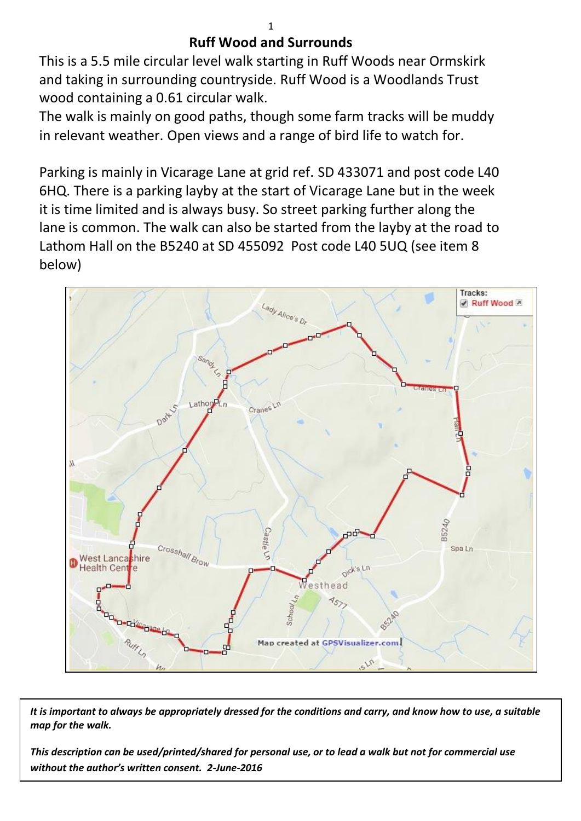## **Ruff Wood and Surrounds**

This is a 5.5 mile circular level walk starting in Ruff Woods near Ormskirk and taking in surrounding countryside. Ruff Wood is a Woodlands Trust wood containing a 0.61 circular walk.

The walk is mainly on good paths, though some farm tracks will be muddy in relevant weather. Open views and a range of bird life to watch for.

Parking is mainly in Vicarage Lane at grid ref. SD 433071 and post code L40 6HQ. There is a parking layby at the start of Vicarage Lane but in the week it is time limited and is always busy. So street parking further along the lane is common. The walk can also be started from the layby at the road to Lathom Hall on the B5240 at SD 455092 Post code L40 5UQ (see item 8 below)



*It is important to always be appropriately dressed for the conditions and carry, and know how to use, a suitable map for the walk.*

*This description can be used/printed/shared for personal use, or to lead a walk but not for commercial use without the author's written consent. 2-June-2016*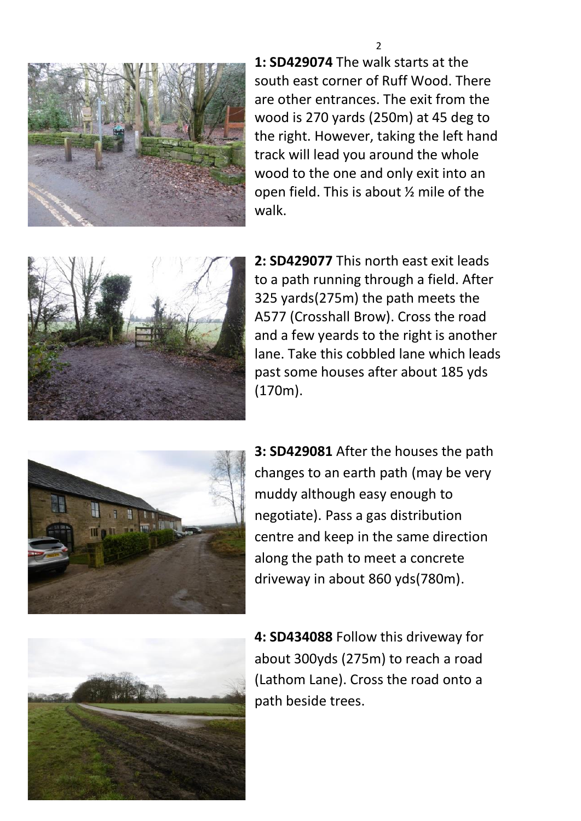

**1: SD429074** The walk starts at the south east corner of Ruff Wood. There are other entrances. The exit from the wood is 270 yards (250m) at 45 deg to the right. However, taking the left hand track will lead you around the whole wood to the one and only exit into an open field. This is about ½ mile of the walk.



**2: SD429077** This north east exit leads to a path running through a field. After 325 yards(275m) the path meets the A577 (Crosshall Brow). Cross the road and a few yeards to the right is another lane. Take this cobbled lane which leads past some houses after about 185 yds (170m).



**3: SD429081** After the houses the path changes to an earth path (may be very muddy although easy enough to negotiate). Pass a gas distribution centre and keep in the same direction along the path to meet a concrete driveway in about 860 yds(780m).



**4: SD434088** Follow this driveway for about 300yds (275m) to reach a road (Lathom Lane). Cross the road onto a path beside trees.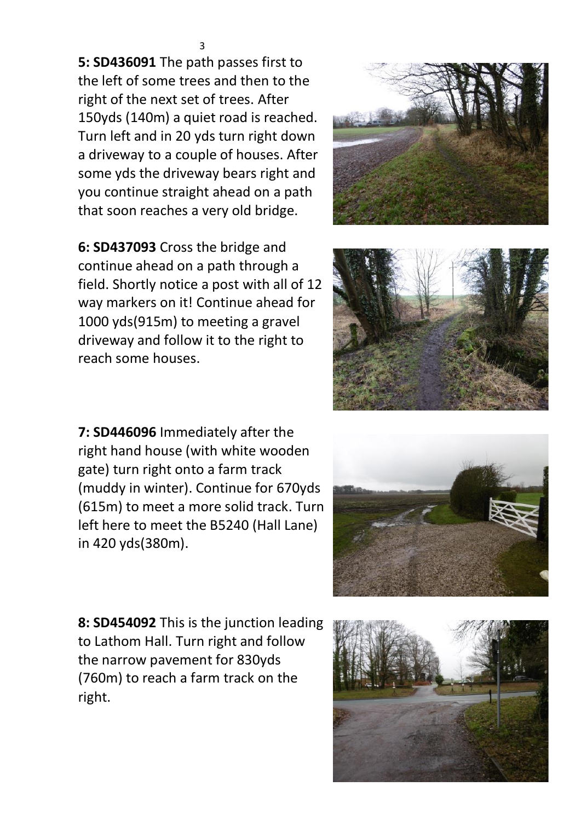**5: SD436091** The path passes first to the left of some trees and then to the right of the next set of trees. After 150yds (140m) a quiet road is reached. Turn left and in 20 yds turn right down a driveway to a couple of houses. After some yds the driveway bears right and you continue straight ahead on a path that soon reaches a very old bridge.

**6: SD437093** Cross the bridge and continue ahead on a path through a field. Shortly notice a post with all of 12 way markers on it! Continue ahead for 1000 yds(915m) to meeting a gravel driveway and follow it to the right to reach some houses.

**7: SD446096** Immediately after the right hand house (with white wooden gate) turn right onto a farm track (muddy in winter). Continue for 670yds (615m) to meet a more solid track. Turn left here to meet the B5240 (Hall Lane) in 420 yds(380m).

**8: SD454092** This is the junction leading to Lathom Hall. Turn right and follow the narrow pavement for 830yds (760m) to reach a farm track on the right.